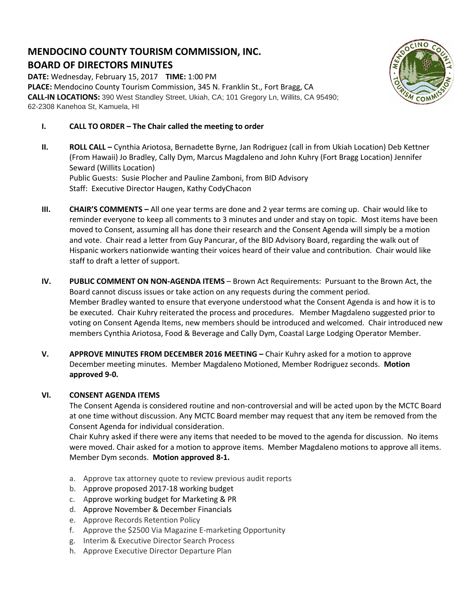# **MENDOCINO COUNTY TOURISM COMMISSION, INC. BOARD OF DIRECTORS MINUTES**

**DATE:** Wednesday, February 15, 2017 **TIME:** 1:00 PM **PLACE:** Mendocino County Tourism Commission, 345 N. Franklin St., Fort Bragg, CA **CALL-IN LOCATIONS:** 390 West Standley Street, Ukiah, CA; 101 Gregory Ln, Willits, CA 95490; 62-2308 Kanehoa St, Kamuela, HI



- **I. CALL TO ORDER – The Chair called the meeting to order**
- **II. ROLL CALL –** Cynthia Ariotosa, Bernadette Byrne, Jan Rodriguez (call in from Ukiah Location) Deb Kettner (From Hawaii) Jo Bradley, Cally Dym, Marcus Magdaleno and John Kuhry (Fort Bragg Location) Jennifer Seward (Willits Location) Public Guests: Susie Plocher and Pauline Zamboni, from BID Advisory Staff: Executive Director Haugen, Kathy CodyChacon
- **III. CHAIR'S COMMENTS –** All one year terms are done and 2 year terms are coming up. Chair would like to reminder everyone to keep all comments to 3 minutes and under and stay on topic. Most items have been moved to Consent, assuming all has done their research and the Consent Agenda will simply be a motion and vote. Chair read a letter from Guy Pancurar, of the BID Advisory Board, regarding the walk out of Hispanic workers nationwide wanting their voices heard of their value and contribution. Chair would like staff to draft a letter of support.
- **IV. PUBLIC COMMENT ON NON-AGENDA ITEMS** Brown Act Requirements: Pursuant to the Brown Act, the Board cannot discuss issues or take action on any requests during the comment period. Member Bradley wanted to ensure that everyone understood what the Consent Agenda is and how it is to be executed. Chair Kuhry reiterated the process and procedures. Member Magdaleno suggested prior to voting on Consent Agenda Items, new members should be introduced and welcomed. Chair introduced new members Cynthia Ariotosa, Food & Beverage and Cally Dym, Coastal Large Lodging Operator Member.
- **V. APPROVE MINUTES FROM DECEMBER 2016 MEETING –** Chair Kuhry asked for a motion to approve December meeting minutes. Member Magdaleno Motioned, Member Rodriguez seconds. **Motion approved 9-0.**

# **VI. CONSENT AGENDA ITEMS**

The Consent Agenda is considered routine and non-controversial and will be acted upon by the MCTC Board at one time without discussion. Any MCTC Board member may request that any item be removed from the Consent Agenda for individual consideration.

Chair Kuhry asked if there were any items that needed to be moved to the agenda for discussion. No items were moved. Chair asked for a motion to approve items. Member Magdaleno motions to approve all items. Member Dym seconds. **Motion approved 8-1.**

- a. Approve tax attorney quote to review previous audit reports
- b. Approve proposed 2017-18 working budget
- c. Approve working budget for Marketing & PR
- d. Approve November & December Financials
- e. Approve Records Retention Policy
- f. Approve the \$2500 Via Magazine E-marketing Opportunity
- g. Interim & Executive Director Search Process
- h. Approve Executive Director Departure Plan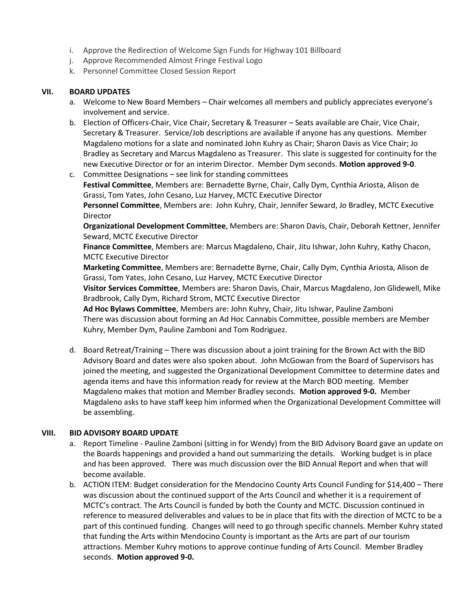- i. Approve the Redirection of Welcome Sign Funds for Highway 101 Billboard
- j. Approve Recommended Almost Fringe Festival Logo
- k. Personnel Committee Closed Session Report

## **VII. BOARD UPDATES**

- a. Welcome to New Board Members Chair welcomes all members and publicly appreciates everyone's involvement and service.
- b. Election of Officers-Chair, Vice Chair, Secretary & Treasurer Seats available are Chair, Vice Chair, Secretary & Treasurer. Service/Job descriptions are available if anyone has any questions. Member Magdaleno motions for a slate and nominated John Kuhry as Chair; Sharon Davis as Vice Chair; Jo Bradley as Secretary and Marcus Magdaleno as Treasurer. This slate is suggested for continuity for the new Executive Director or for an interim Director. Member Dym seconds. **Motion approved 9-0**.
- c. Committee Designations see link for standing committees **Festival Committee**, Members are: Bernadette Byrne, Chair, Cally Dym, Cynthia Ariosta, Alison de Grassi, Tom Yates, John Cesano, Luz Harvey, MCTC Executive Director **Personnel Committee**, Members are: John Kuhry, Chair, Jennifer Seward, Jo Bradley, MCTC Executive Director **Organizational Development Committee**, Members are: Sharon Davis, Chair, Deborah Kettner, Jennifer

Seward, MCTC Executive Director

**Finance Committee**, Members are: Marcus Magdaleno, Chair, Jitu Ishwar, John Kuhry, Kathy Chacon, MCTC Executive Director

**Marketing Committee**, Members are: Bernadette Byrne, Chair, Cally Dym, Cynthia Ariosta, Alison de Grassi, Tom Yates, John Cesano, Luz Harvey, MCTC Executive Director

**Visitor Services Committee**, Members are: Sharon Davis, Chair, Marcus Magdaleno, Jon Glidewell, Mike Bradbrook, Cally Dym, Richard Strom, MCTC Executive Director

**Ad Hoc Bylaws Committee**, Members are: John Kuhry, Chair, Jitu Ishwar, Pauline Zamboni There was discussion about forming an Ad Hoc Cannabis Committee, possible members are Member Kuhry, Member Dym, Pauline Zamboni and Tom Rodriguez.

d. Board Retreat/Training – There was discussion about a joint training for the Brown Act with the BID Advisory Board and dates were also spoken about. John McGowan from the Board of Supervisors has joined the meeting, and suggested the Organizational Development Committee to determine dates and agenda items and have this information ready for review at the March BOD meeting. Member Magdaleno makes that motion and Member Bradley seconds. **Motion approved 9-0.** Member Magdaleno asks to have staff keep him informed when the Organizational Development Committee will be assembling.

# **VIII. BID ADVISORY BOARD UPDATE**

- a. Report Timeline Pauline Zamboni (sitting in for Wendy) from the BID Advisory Board gave an update on the Boards happenings and provided a hand out summarizing the details. Working budget is in place and has been approved. There was much discussion over the BID Annual Report and when that will become available.
- b. ACTION ITEM: Budget consideration for the Mendocino County Arts Council Funding for \$14,400 There was discussion about the continued support of the Arts Council and whether it is a requirement of MCTC's contract. The Arts Council is funded by both the County and MCTC. Discussion continued in reference to measured deliverables and values to be in place that fits with the direction of MCTC to be a part of this continued funding. Changes will need to go through specific channels. Member Kuhry stated that funding the Arts within Mendocino County is important as the Arts are part of our tourism attractions. Member Kuhry motions to approve continue funding of Arts Council. Member Bradley seconds. **Motion approved 9-0.**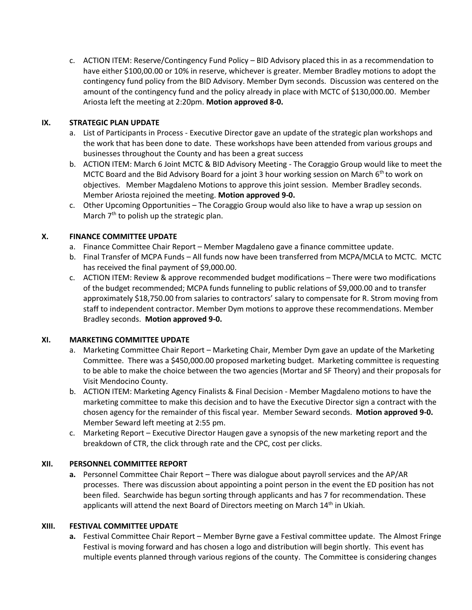c. ACTION ITEM: Reserve/Contingency Fund Policy – BID Advisory placed this in as a recommendation to have either \$100,00.00 or 10% in reserve, whichever is greater. Member Bradley motions to adopt the contingency fund policy from the BID Advisory. Member Dym seconds. Discussion was centered on the amount of the contingency fund and the policy already in place with MCTC of \$130,000.00. Member Ariosta left the meeting at 2:20pm. **Motion approved 8-0.**

# **IX. STRATEGIC PLAN UPDATE**

- a. List of Participants in Process Executive Director gave an update of the strategic plan workshops and the work that has been done to date. These workshops have been attended from various groups and businesses throughout the County and has been a great success
- b. ACTION ITEM: March 6 Joint MCTC & BID Advisory Meeting The Coraggio Group would like to meet the MCTC Board and the Bid Advisory Board for a joint 3 hour working session on March 6<sup>th</sup> to work on objectives. Member Magdaleno Motions to approve this joint session. Member Bradley seconds. Member Ariosta rejoined the meeting. **Motion approved 9-0.**
- c. Other Upcoming Opportunities The Coraggio Group would also like to have a wrap up session on March 7<sup>th</sup> to polish up the strategic plan.

#### **X. FINANCE COMMITTEE UPDATE**

- a. Finance Committee Chair Report Member Magdaleno gave a finance committee update.
- b. Final Transfer of MCPA Funds All funds now have been transferred from MCPA/MCLA to MCTC. MCTC has received the final payment of \$9,000.00.
- c. ACTION ITEM: Review & approve recommended budget modifications There were two modifications of the budget recommended; MCPA funds funneling to public relations of \$9,000.00 and to transfer approximately \$18,750.00 from salaries to contractors' salary to compensate for R. Strom moving from staff to independent contractor. Member Dym motions to approve these recommendations. Member Bradley seconds. **Motion approved 9-0.**

#### **XI. MARKETING COMMITTEE UPDATE**

- a. Marketing Committee Chair Report Marketing Chair, Member Dym gave an update of the Marketing Committee. There was a \$450,000.00 proposed marketing budget. Marketing committee is requesting to be able to make the choice between the two agencies (Mortar and SF Theory) and their proposals for Visit Mendocino County.
- b. ACTION ITEM: Marketing Agency Finalists & Final Decision Member Magdaleno motions to have the marketing committee to make this decision and to have the Executive Director sign a contract with the chosen agency for the remainder of this fiscal year. Member Seward seconds. **Motion approved 9-0.** Member Seward left meeting at 2:55 pm.
- c. Marketing Report Executive Director Haugen gave a synopsis of the new marketing report and the breakdown of CTR, the click through rate and the CPC, cost per clicks.

#### **XII. PERSONNEL COMMITTEE REPORT**

**a.** Personnel Committee Chair Report – There was dialogue about payroll services and the AP/AR processes. There was discussion about appointing a point person in the event the ED position has not been filed. Searchwide has begun sorting through applicants and has 7 for recommendation. These applicants will attend the next Board of Directors meeting on March 14<sup>th</sup> in Ukiah.

#### **XIII. FESTIVAL COMMITTEE UPDATE**

**a.** Festival Committee Chair Report – Member Byrne gave a Festival committee update. The Almost Fringe Festival is moving forward and has chosen a logo and distribution will begin shortly. This event has multiple events planned through various regions of the county. The Committee is considering changes